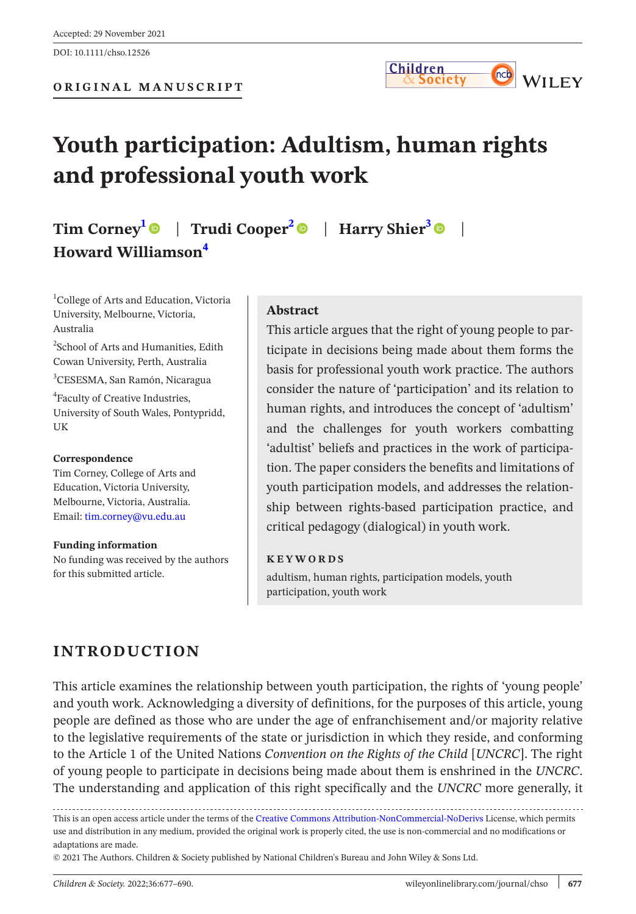

# **Youth participation: Adultism, human rights and professional youth work**

## **Tim Corne[y1](#page-0-0)** | **Trudi Coope[r2](#page-0-1)** | **Harry Shier[3](#page-0-2)** | **Howard Williamson[4](#page-0-3)**

<span id="page-0-0"></span>1 College of Arts and Education, Victoria University, Melbourne, Victoria, Australia

<span id="page-0-1"></span>2 School of Arts and Humanities, Edith Cowan University, Perth, Australia

<span id="page-0-2"></span>3 CESESMA, San Ramón, Nicaragua

<span id="page-0-3"></span>4 Faculty of Creative Industries, University of South Wales, Pontypridd, UK

#### **Correspondence**

Tim Corney, College of Arts and Education, Victoria University, Melbourne, Victoria, Australia. Email: [tim.corney@vu.edu.au](mailto:tim.corney@vu.edu.au)

**Funding information** No funding was received by the authors for this submitted article.

#### **Abstract**

This article argues that the right of young people to participate in decisions being made about them forms the basis for professional youth work practice. The authors consider the nature of 'participation' and its relation to human rights, and introduces the concept of 'adultism' and the challenges for youth workers combatting 'adultist' beliefs and practices in the work of participation. The paper considers the benefits and limitations of youth participation models, and addresses the relationship between rights-based participation practice, and critical pedagogy (dialogical) in youth work.

#### **KEYWORDS**

adultism, human rights, participation models, youth participation, youth work

## **INTRODUCTION**

This article examines the relationship between youth participation, the rights of 'young people' and youth work. Acknowledging a diversity of definitions, for the purposes of this article, young people are defined as those who are under the age of enfranchisement and/or majority relative to the legislative requirements of the state or jurisdiction in which they reside, and conforming to the Article 1 of the United Nations *Convention on the Rights of the Child* [*UNCRC*]. The right of young people to participate in decisions being made about them is enshrined in the *UNCRC*. The understanding and application of this right specifically and the *UNCRC* more generally, it

This is an open access article under the terms of the [Creative Commons Attribution-NonCommercial-NoDerivs](http://creativecommons.org/licenses/by-nc-nd/4.0/) License, which permits use and distribution in any medium, provided the original work is properly cited, the use is non-commercial and no modifications or adaptations are made.

© 2021 The Authors. Children & Society published by National Children's Bureau and John Wiley & Sons Ltd.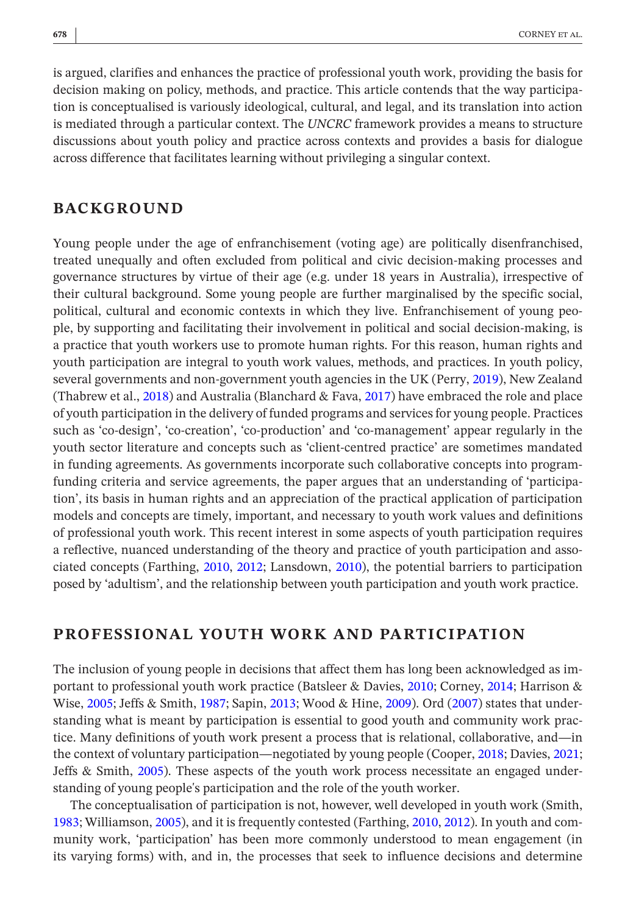is argued, clarifies and enhances the practice of professional youth work, providing the basis for decision making on policy, methods, and practice. This article contends that the way participation is conceptualised is variously ideological, cultural, and legal, and its translation into action is mediated through a particular context. The *UNCRC* framework provides a means to structure discussions about youth policy and practice across contexts and provides a basis for dialogue across difference that facilitates learning without privileging a singular context.

## **BACKGROUND**

Young people under the age of enfranchisement (voting age) are politically disenfranchised, treated unequally and often excluded from political and civic decision-making processes and governance structures by virtue of their age (e.g. under 18 years in Australia), irrespective of their cultural background. Some young people are further marginalised by the specific social, political, cultural and economic contexts in which they live. Enfranchisement of young people, by supporting and facilitating their involvement in political and social decision-making, is a practice that youth workers use to promote human rights. For this reason, human rights and youth participation are integral to youth work values, methods, and practices. In youth policy, several governments and non-government youth agencies in the UK (Perry, [2019](#page-13-0)), New Zealand (Thabrew et al., [2018\)](#page-13-1) and Australia (Blanchard  $&$  Fava, [2017\)](#page-11-0) have embraced the role and place of youth participation in the delivery of funded programs and services for young people. Practices such as 'co-design', 'co-creation', 'co-production' and 'co-management' appear regularly in the youth sector literature and concepts such as 'client-centred practice' are sometimes mandated in funding agreements. As governments incorporate such collaborative concepts into programfunding criteria and service agreements, the paper argues that an understanding of 'participation', its basis in human rights and an appreciation of the practical application of participation models and concepts are timely, important, and necessary to youth work values and definitions of professional youth work. This recent interest in some aspects of youth participation requires a reflective, nuanced understanding of the theory and practice of youth participation and associated concepts (Farthing, [2010,](#page-12-0) [2012](#page-12-1); Lansdown, [2010\)](#page-12-2), the potential barriers to participation posed by 'adultism', and the relationship between youth participation and youth work practice.

## **PROFESSIONAL YOUTH WORK AND PARTICIPATION**

The inclusion of young people in decisions that affect them has long been acknowledged as important to professional youth work practice (Batsleer & Davies, [2010](#page-11-1); Corney, [2014](#page-11-2); Harrison & Wise, [2005](#page-12-3); Jeffs & Smith, [1987](#page-12-4); Sapin, [2013;](#page-13-2) Wood & Hine, [2009\)](#page-13-3). Ord ([2007](#page-12-5)) states that understanding what is meant by participation is essential to good youth and community work practice. Many definitions of youth work present a process that is relational, collaborative, and—in the context of voluntary participation—negotiated by young people (Cooper, [2018](#page-11-3); Davies, [2021;](#page-11-4) Jeffs & Smith, [2005\)](#page-12-6). These aspects of the youth work process necessitate an engaged understanding of young people's participation and the role of the youth worker.

The conceptualisation of participation is not, however, well developed in youth work (Smith, [1983](#page-13-4); Williamson, [2005](#page-13-5)), and it is frequently contested (Farthing, [2010](#page-12-0), [2012](#page-12-1)). In youth and community work, 'participation' has been more commonly understood to mean engagement (in its varying forms) with, and in, the processes that seek to influence decisions and determine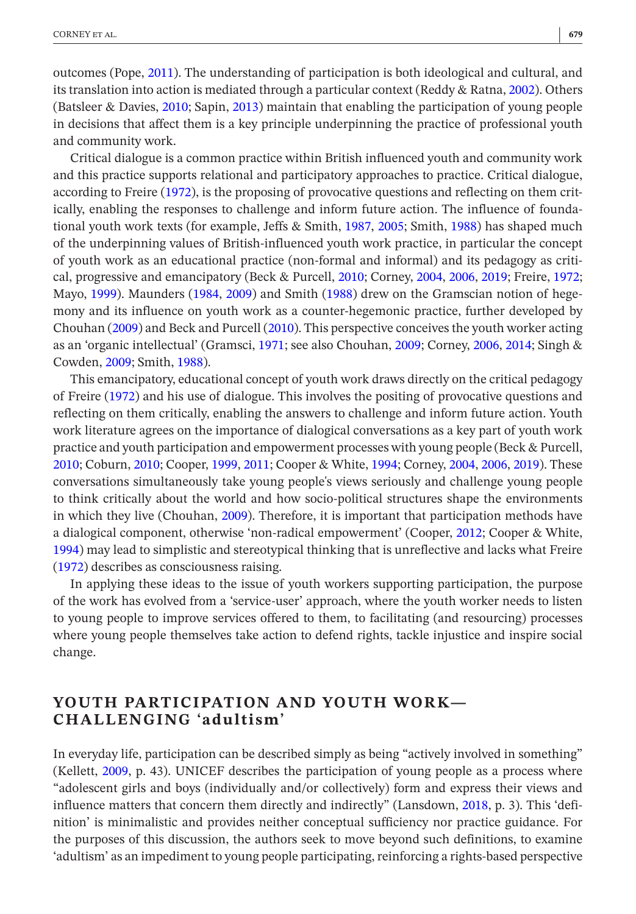outcomes (Pope, [2011](#page-13-6)). The understanding of participation is both ideological and cultural, and its translation into action is mediated through a particular context (Reddy & Ratna, [2002\)](#page-13-7). Others (Batsleer & Davies, [2010](#page-11-1); Sapin, [2013](#page-13-2)) maintain that enabling the participation of young people in decisions that affect them is a key principle underpinning the practice of professional youth and community work.

Critical dialogue is a common practice within British influenced youth and community work and this practice supports relational and participatory approaches to practice. Critical dialogue, according to Freire [\(1972\)](#page-12-7), is the proposing of provocative questions and reflecting on them critically, enabling the responses to challenge and inform future action. The influence of foundational youth work texts (for example, Jeffs & Smith, [1987,](#page-12-4) [2005;](#page-12-6) Smith, [1988\)](#page-13-8) has shaped much of the underpinning values of British-influenced youth work practice, in particular the concept of youth work as an educational practice (non-formal and informal) and its pedagogy as critical, progressive and emancipatory (Beck & Purcell, [2010;](#page-11-5) Corney, [2004](#page-11-6), [2006](#page-11-7), [2019;](#page-11-8) Freire, [1972;](#page-12-7) Mayo, [1999\)](#page-12-8). Maunders [\(1984,](#page-12-9) [2009](#page-12-10)) and Smith [\(1988\)](#page-13-8) drew on the Gramscian notion of hegemony and its influence on youth work as a counter-hegemonic practice, further developed by Chouhan ([2009](#page-11-9)) and Beck and Purcell [\(2010](#page-11-5)). This perspective conceives the youth worker acting as an 'organic intellectual' (Gramsci, [1971;](#page-12-11) see also Chouhan, [2009;](#page-11-9) Corney, [2006,](#page-11-7) [2014](#page-11-2); Singh & Cowden, [2009](#page-13-9); Smith, [1988\)](#page-13-8).

This emancipatory, educational concept of youth work draws directly on the critical pedagogy of Freire [\(1972\)](#page-12-7) and his use of dialogue. This involves the positing of provocative questions and reflecting on them critically, enabling the answers to challenge and inform future action. Youth work literature agrees on the importance of dialogical conversations as a key part of youth work practice and youth participation and empowerment processes with young people (Beck & Purcell, [2010](#page-11-5); Coburn, [2010;](#page-11-10) Cooper, [1999](#page-11-11), [2011;](#page-11-12) Cooper & White, [1994;](#page-11-13) Corney, [2004](#page-11-6), [2006,](#page-11-7) [2019](#page-11-8)). These conversations simultaneously take young people's views seriously and challenge young people to think critically about the world and how socio-political structures shape the environments in which they live (Chouhan, [2009\)](#page-11-9). Therefore, it is important that participation methods have a dialogical component, otherwise 'non-radical empowerment' (Cooper, [2012;](#page-11-14) Cooper & White, [1994](#page-11-13)) may lead to simplistic and stereotypical thinking that is unreflective and lacks what Freire ([1972\)](#page-12-7) describes as consciousness raising.

In applying these ideas to the issue of youth workers supporting participation, the purpose of the work has evolved from a 'service-user' approach, where the youth worker needs to listen to young people to improve services offered to them, to facilitating (and resourcing) processes where young people themselves take action to defend rights, tackle injustice and inspire social change.

## **YOUTH PARTICIPATION AND YOUTH WORK— CHALLENGING 'adultism'**

In everyday life, participation can be described simply as being "actively involved in something" (Kellett, [2009,](#page-12-12) p. 43). UNICEF describes the participation of young people as a process where "adolescent girls and boys (individually and/or collectively) form and express their views and influence matters that concern them directly and indirectly" (Lansdown, [2018](#page-12-13), p. 3). This 'definition' is minimalistic and provides neither conceptual sufficiency nor practice guidance. For the purposes of this discussion, the authors seek to move beyond such definitions, to examine 'adultism' as an impediment to young people participating, reinforcing a rights-based perspective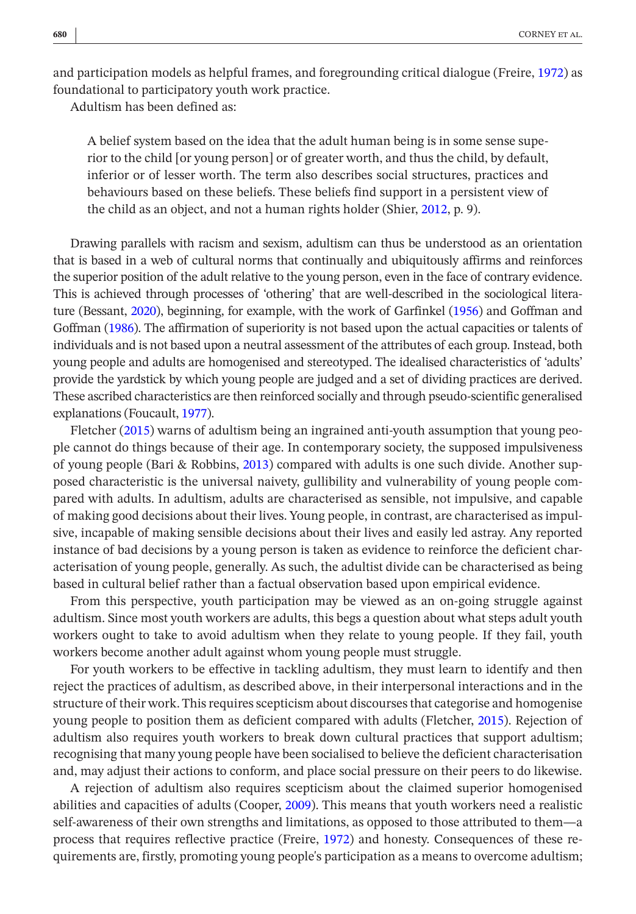and participation models as helpful frames, and foregrounding critical dialogue (Freire, [1972\)](#page-12-7) as foundational to participatory youth work practice.

Adultism has been defined as:

A belief system based on the idea that the adult human being is in some sense superior to the child [or young person] or of greater worth, and thus the child, by default, inferior or of lesser worth. The term also describes social structures, practices and behaviours based on these beliefs. These beliefs find support in a persistent view of the child as an object, and not a human rights holder (Shier, [2012,](#page-13-10) p. 9).

Drawing parallels with racism and sexism, adultism can thus be understood as an orientation that is based in a web of cultural norms that continually and ubiquitously affirms and reinforces the superior position of the adult relative to the young person, even in the face of contrary evidence. This is achieved through processes of 'othering' that are well-described in the sociological literature (Bessant, [2020\)](#page-11-15), beginning, for example, with the work of Garfinkel ([1956\)](#page-12-14) and Goffman and Goffman ([1986](#page-12-15)). The affirmation of superiority is not based upon the actual capacities or talents of individuals and is not based upon a neutral assessment of the attributes of each group. Instead, both young people and adults are homogenised and stereotyped. The idealised characteristics of 'adults' provide the yardstick by which young people are judged and a set of dividing practices are derived. These ascribed characteristics are then reinforced socially and through pseudo-scientific generalised explanations (Foucault, [1977\)](#page-12-16).

Fletcher [\(2015](#page-12-17)) warns of adultism being an ingrained anti-youth assumption that young people cannot do things because of their age. In contemporary society, the supposed impulsiveness of young people (Bari & Robbins, [2013\)](#page-11-16) compared with adults is one such divide. Another supposed characteristic is the universal naivety, gullibility and vulnerability of young people compared with adults. In adultism, adults are characterised as sensible, not impulsive, and capable of making good decisions about their lives. Young people, in contrast, are characterised as impulsive, incapable of making sensible decisions about their lives and easily led astray. Any reported instance of bad decisions by a young person is taken as evidence to reinforce the deficient characterisation of young people, generally. As such, the adultist divide can be characterised as being based in cultural belief rather than a factual observation based upon empirical evidence.

From this perspective, youth participation may be viewed as an on-going struggle against adultism. Since most youth workers are adults, this begs a question about what steps adult youth workers ought to take to avoid adultism when they relate to young people. If they fail, youth workers become another adult against whom young people must struggle.

For youth workers to be effective in tackling adultism, they must learn to identify and then reject the practices of adultism, as described above, in their interpersonal interactions and in the structure of their work. This requires scepticism about discourses that categorise and homogenise young people to position them as deficient compared with adults (Fletcher, [2015](#page-12-17)). Rejection of adultism also requires youth workers to break down cultural practices that support adultism; recognising that many young people have been socialised to believe the deficient characterisation and, may adjust their actions to conform, and place social pressure on their peers to do likewise.

A rejection of adultism also requires scepticism about the claimed superior homogenised abilities and capacities of adults (Cooper, [2009](#page-11-17)). This means that youth workers need a realistic self-awareness of their own strengths and limitations, as opposed to those attributed to them—a process that requires reflective practice (Freire, [1972](#page-12-7)) and honesty. Consequences of these requirements are, firstly, promoting young people's participation as a means to overcome adultism;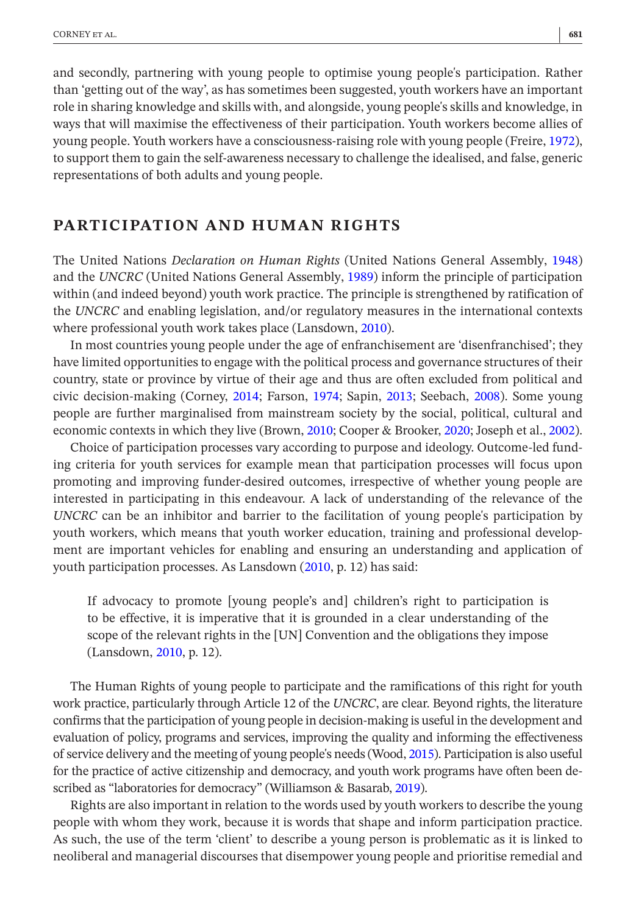and secondly, partnering with young people to optimise young people's participation. Rather than 'getting out of the way', as has sometimes been suggested, youth workers have an important role in sharing knowledge and skills with, and alongside, young people's skills and knowledge, in ways that will maximise the effectiveness of their participation. Youth workers become allies of young people. Youth workers have a consciousness-raising role with young people (Freire, [1972](#page-12-7)), to support them to gain the self-awareness necessary to challenge the idealised, and false, generic representations of both adults and young people.

## **PARTICIPATION AND HUMAN RIGHTS**

The United Nations *Declaration on Human Rights* (United Nations General Assembly, [1948\)](#page-13-11) and the *UNCRC* (United Nations General Assembly, [1989\)](#page-13-12) inform the principle of participation within (and indeed beyond) youth work practice. The principle is strengthened by ratification of the *UNCRC* and enabling legislation, and/or regulatory measures in the international contexts where professional youth work takes place (Lansdown, [2010\)](#page-12-2).

In most countries young people under the age of enfranchisement are 'disenfranchised'; they have limited opportunities to engage with the political process and governance structures of their country, state or province by virtue of their age and thus are often excluded from political and civic decision-making (Corney, [2014](#page-11-2); Farson, [1974;](#page-11-18) Sapin, [2013;](#page-13-2) Seebach, [2008](#page-13-13)). Some young people are further marginalised from mainstream society by the social, political, cultural and economic contexts in which they live (Brown, [2010;](#page-11-19) Cooper & Brooker, [2020](#page-11-20); Joseph et al., [2002](#page-12-18)).

Choice of participation processes vary according to purpose and ideology. Outcome-led funding criteria for youth services for example mean that participation processes will focus upon promoting and improving funder-desired outcomes, irrespective of whether young people are interested in participating in this endeavour. A lack of understanding of the relevance of the *UNCRC* can be an inhibitor and barrier to the facilitation of young people's participation by youth workers, which means that youth worker education, training and professional development are important vehicles for enabling and ensuring an understanding and application of youth participation processes. As Lansdown [\(2010,](#page-12-2) p. 12) has said:

If advocacy to promote [young people's and] children's right to participation is to be effective, it is imperative that it is grounded in a clear understanding of the scope of the relevant rights in the [UN] Convention and the obligations they impose (Lansdown, [2010,](#page-12-2) p. 12).

The Human Rights of young people to participate and the ramifications of this right for youth work practice, particularly through Article 12 of the *UNCRC*, are clear. Beyond rights, the literature confirms that the participation of young people in decision-making is useful in the development and evaluation of policy, programs and services, improving the quality and informing the effectiveness of service delivery and the meeting of young people's needs (Wood, [2015\)](#page-13-14). Participation is also useful for the practice of active citizenship and democracy, and youth work programs have often been described as "laboratories for democracy" (Williamson & Basarab, [2019](#page-13-15)).

Rights are also important in relation to the words used by youth workers to describe the young people with whom they work, because it is words that shape and inform participation practice. As such, the use of the term 'client' to describe a young person is problematic as it is linked to neoliberal and managerial discourses that disempower young people and prioritise remedial and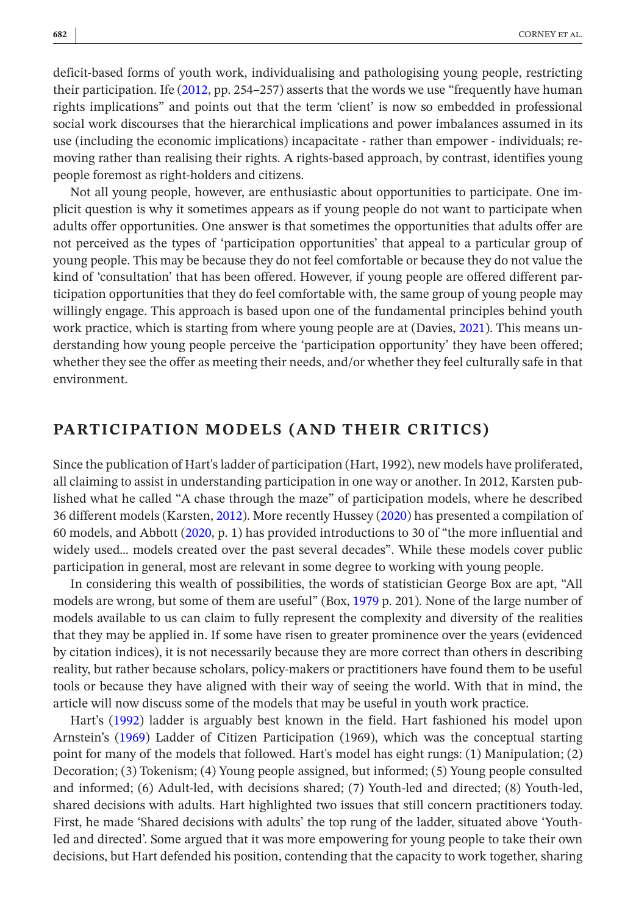deficit-based forms of youth work, individualising and pathologising young people, restricting their participation. Ife ([2012](#page-12-19), pp. 254–257) asserts that the words we use "frequently have human rights implications" and points out that the term 'client' is now so embedded in professional social work discourses that the hierarchical implications and power imbalances assumed in its use (including the economic implications) incapacitate - rather than empower - individuals; removing rather than realising their rights. A rights-based approach, by contrast, identifies young people foremost as right-holders and citizens.

Not all young people, however, are enthusiastic about opportunities to participate. One implicit question is why it sometimes appears as if young people do not want to participate when adults offer opportunities. One answer is that sometimes the opportunities that adults offer are not perceived as the types of 'participation opportunities' that appeal to a particular group of young people. This may be because they do not feel comfortable or because they do not value the kind of 'consultation' that has been offered. However, if young people are offered different participation opportunities that they do feel comfortable with, the same group of young people may willingly engage. This approach is based upon one of the fundamental principles behind youth work practice, which is starting from where young people are at (Davies, [2021\)](#page-11-4). This means understanding how young people perceive the 'participation opportunity' they have been offered; whether they see the offer as meeting their needs, and/or whether they feel culturally safe in that environment.

## **PARTICIPATION MODELS (AND THEIR CRITICS)**

Since the publication of Hart's ladder of participation (Hart, 1992), new models have proliferated, all claiming to assist in understanding participation in one way or another. In 2012, Karsten published what he called "A chase through the maze" of participation models, where he described 36 different models (Karsten, [2012\)](#page-12-20). More recently Hussey [\(2020](#page-12-21)) has presented a compilation of 60 models, and Abbott [\(2020](#page-11-21), p. 1) has provided introductions to 30 of "the more influential and widely used… models created over the past several decades". While these models cover public participation in general, most are relevant in some degree to working with young people.

In considering this wealth of possibilities, the words of statistician George Box are apt, "All models are wrong, but some of them are useful" (Box, [1979](#page-11-22) p. 201). None of the large number of models available to us can claim to fully represent the complexity and diversity of the realities that they may be applied in. If some have risen to greater prominence over the years (evidenced by citation indices), it is not necessarily because they are more correct than others in describing reality, but rather because scholars, policy-makers or practitioners have found them to be useful tools or because they have aligned with their way of seeing the world. With that in mind, the article will now discuss some of the models that may be useful in youth work practice.

Hart's [\(1992](#page-12-22)) ladder is arguably best known in the field. Hart fashioned his model upon Arnstein's ([1969\)](#page-11-23) Ladder of Citizen Participation (1969), which was the conceptual starting point for many of the models that followed. Hart's model has eight rungs: (1) Manipulation; (2) Decoration; (3) Tokenism; (4) Young people assigned, but informed; (5) Young people consulted and informed; (6) Adult-led, with decisions shared; (7) Youth-led and directed; (8) Youth-led, shared decisions with adults. Hart highlighted two issues that still concern practitioners today. First, he made 'Shared decisions with adults' the top rung of the ladder, situated above 'Youthled and directed'. Some argued that it was more empowering for young people to take their own decisions, but Hart defended his position, contending that the capacity to work together, sharing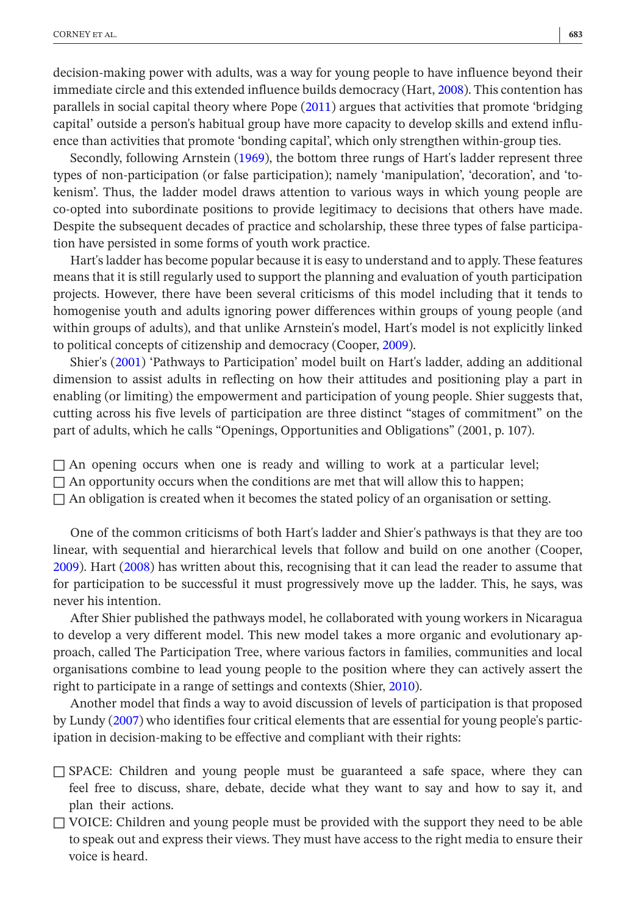decision-making power with adults, was a way for young people to have influence beyond their immediate circle and this extended influence builds democracy (Hart, [2008\)](#page-12-23). This contention has parallels in social capital theory where Pope ([2011\)](#page-13-6) argues that activities that promote 'bridging capital' outside a person's habitual group have more capacity to develop skills and extend influence than activities that promote 'bonding capital', which only strengthen within-group ties.

Secondly, following Arnstein ([1969\)](#page-11-23), the bottom three rungs of Hart's ladder represent three types of non-participation (or false participation); namely 'manipulation', 'decoration', and 'tokenism'. Thus, the ladder model draws attention to various ways in which young people are co-opted into subordinate positions to provide legitimacy to decisions that others have made. Despite the subsequent decades of practice and scholarship, these three types of false participation have persisted in some forms of youth work practice.

Hart's ladder has become popular because it is easy to understand and to apply. These features means that it is still regularly used to support the planning and evaluation of youth participation projects. However, there have been several criticisms of this model including that it tends to homogenise youth and adults ignoring power differences within groups of young people (and within groups of adults), and that unlike Arnstein's model, Hart's model is not explicitly linked to political concepts of citizenship and democracy (Cooper, [2009](#page-11-17)).

Shier's ([2001\)](#page-13-16) 'Pathways to Participation' model built on Hart's ladder, adding an additional dimension to assist adults in reflecting on how their attitudes and positioning play a part in enabling (or limiting) the empowerment and participation of young people. Shier suggests that, cutting across his five levels of participation are three distinct "stages of commitment" on the part of adults, which he calls "Openings, Opportunities and Obligations" (2001, p. 107).

 $\Box$  An opening occurs when one is ready and willing to work at a particular level;

 $\Box$  An opportunity occurs when the conditions are met that will allow this to happen;

 $\Box$  An obligation is created when it becomes the stated policy of an organisation or setting.

One of the common criticisms of both Hart's ladder and Shier's pathways is that they are too linear, with sequential and hierarchical levels that follow and build on one another (Cooper, [2009](#page-11-17)). Hart ([2008](#page-12-23)) has written about this, recognising that it can lead the reader to assume that for participation to be successful it must progressively move up the ladder. This, he says, was never his intention.

After Shier published the pathways model, he collaborated with young workers in Nicaragua to develop a very different model. This new model takes a more organic and evolutionary approach, called The Participation Tree, where various factors in families, communities and local organisations combine to lead young people to the position where they can actively assert the right to participate in a range of settings and contexts (Shier, [2010](#page-13-17)).

Another model that finds a way to avoid discussion of levels of participation is that proposed by Lundy [\(2007\)](#page-12-24) who identifies four critical elements that are essential for young people's participation in decision-making to be effective and compliant with their rights:

- $\square$  SPACE: Children and young people must be guaranteed a safe space, where they can feel free to discuss, share, debate, decide what they want to say and how to say it, and plan their actions.
- $\Box$  VOICE: Children and young people must be provided with the support they need to be able to speak out and express their views. They must have access to the right media to ensure their voice is heard.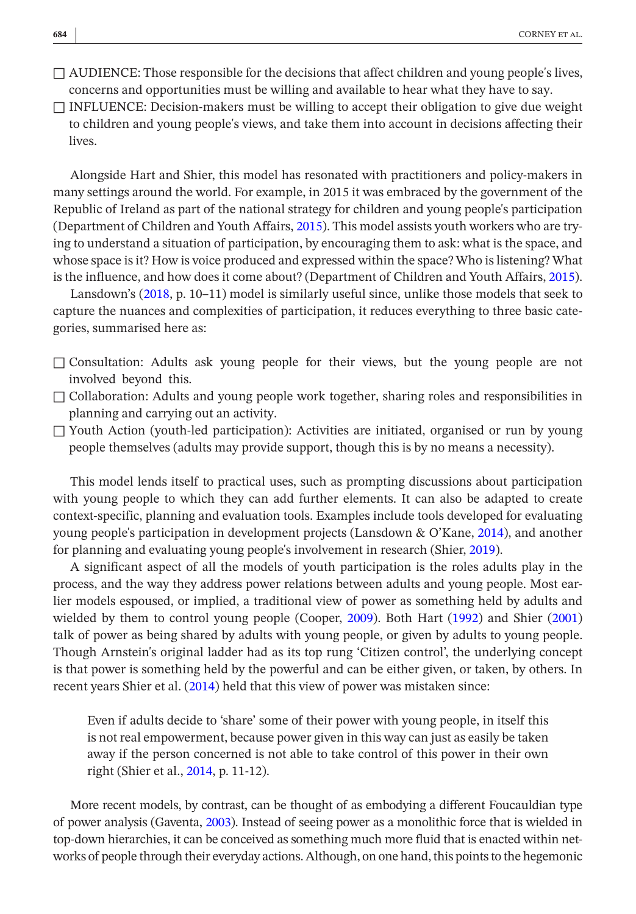$\Box$  AUDIENCE: Those responsible for the decisions that affect children and young people's lives, concerns and opportunities must be willing and available to hear what they have to say.

 $\Box$  INFLUENCE: Decision-makers must be willing to accept their obligation to give due weight to children and young people's views, and take them into account in decisions affecting their lives.

Alongside Hart and Shier, this model has resonated with practitioners and policy-makers in many settings around the world. For example, in 2015 it was embraced by the government of the Republic of Ireland as part of the national strategy for children and young people's participation (Department of Children and Youth Affairs, [2015\)](#page-11-24). This model assists youth workers who are trying to understand a situation of participation, by encouraging them to ask: what is the space, and whose space is it? How is voice produced and expressed within the space? Who is listening? What is the influence, and how does it come about? (Department of Children and Youth Affairs, [2015](#page-11-24)).

Lansdown's [\(2018](#page-12-13), p. 10–11) model is similarly useful since, unlike those models that seek to capture the nuances and complexities of participation, it reduces everything to three basic categories, summarised here as:

- $\square$  Consultation: Adults ask young people for their views, but the young people are not involved beyond this.
- $\Box$  Collaboration: Adults and young people work together, sharing roles and responsibilities in planning and carrying out an activity.
- $\Box$  Youth Action (youth-led participation): Activities are initiated, organised or run by young people themselves (adults may provide support, though this is by no means a necessity).

This model lends itself to practical uses, such as prompting discussions about participation with young people to which they can add further elements. It can also be adapted to create context-specific, planning and evaluation tools. Examples include tools developed for evaluating young people's participation in development projects (Lansdown & O'Kane, [2014](#page-12-25)), and another for planning and evaluating young people's involvement in research (Shier, [2019\)](#page-13-18).

A significant aspect of all the models of youth participation is the roles adults play in the process, and the way they address power relations between adults and young people. Most earlier models espoused, or implied, a traditional view of power as something held by adults and wielded by them to control young people (Cooper, [2009\)](#page-11-17). Both Hart ([1992\)](#page-12-22) and Shier ([2001\)](#page-13-16) talk of power as being shared by adults with young people, or given by adults to young people. Though Arnstein's original ladder had as its top rung 'Citizen control', the underlying concept is that power is something held by the powerful and can be either given, or taken, by others. In recent years Shier et al. [\(2014\)](#page-13-19) held that this view of power was mistaken since:

Even if adults decide to 'share' some of their power with young people, in itself this is not real empowerment, because power given in this way can just as easily be taken away if the person concerned is not able to take control of this power in their own right (Shier et al., [2014,](#page-13-19) p. 11-12).

More recent models, by contrast, can be thought of as embodying a different Foucauldian type of power analysis (Gaventa, [2003](#page-12-26)). Instead of seeing power as a monolithic force that is wielded in top-down hierarchies, it can be conceived as something much more fluid that is enacted within networks of people through their everyday actions. Although, on one hand, this points to the hegemonic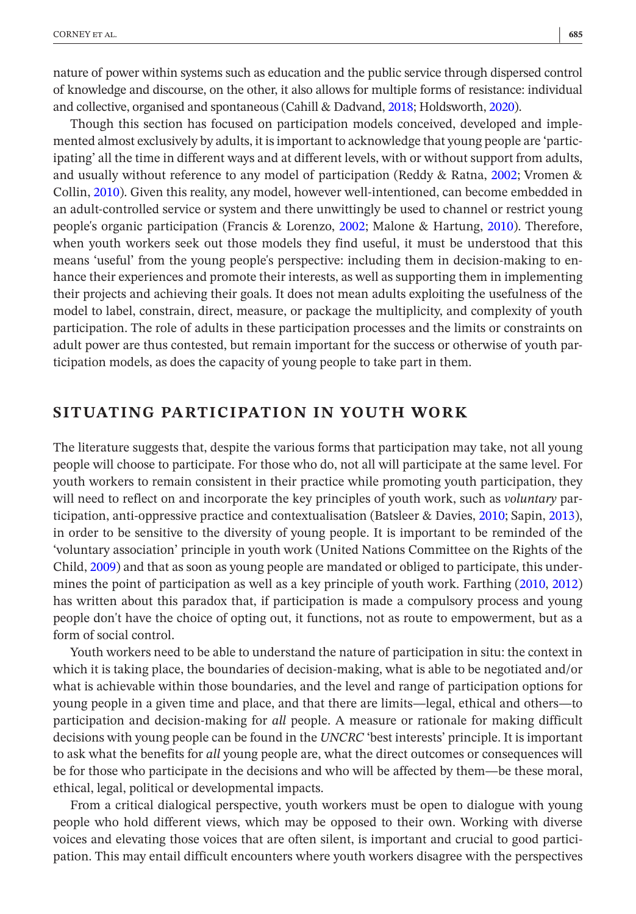nature of power within systems such as education and the public service through dispersed control of knowledge and discourse, on the other, it also allows for multiple forms of resistance: individual and collective, organised and spontaneous (Cahill & Dadvand, [2018](#page-11-25); Holdsworth, [2020](#page-12-27)).

Though this section has focused on participation models conceived, developed and implemented almost exclusively by adults, it is important to acknowledge that young people are 'participating' all the time in different ways and at different levels, with or without support from adults, and usually without reference to any model of participation (Reddy & Ratna, [2002](#page-13-7); Vromen & Collin, [2010](#page-13-20)). Given this reality, any model, however well-intentioned, can become embedded in an adult-controlled service or system and there unwittingly be used to channel or restrict young people's organic participation (Francis & Lorenzo, [2002](#page-12-28); Malone & Hartung, [2010](#page-12-29)). Therefore, when youth workers seek out those models they find useful, it must be understood that this means 'useful' from the young people's perspective: including them in decision-making to enhance their experiences and promote their interests, as well as supporting them in implementing their projects and achieving their goals. It does not mean adults exploiting the usefulness of the model to label, constrain, direct, measure, or package the multiplicity, and complexity of youth participation. The role of adults in these participation processes and the limits or constraints on adult power are thus contested, but remain important for the success or otherwise of youth participation models, as does the capacity of young people to take part in them.

## **SITUATING PARTICIPATION IN YOUTH WORK**

The literature suggests that, despite the various forms that participation may take, not all young people will choose to participate. For those who do, not all will participate at the same level. For youth workers to remain consistent in their practice while promoting youth participation, they will need to reflect on and incorporate the key principles of youth work, such as *voluntary* participation, anti-oppressive practice and contextualisation (Batsleer & Davies, [2010;](#page-11-1) Sapin, [2013](#page-13-2)), in order to be sensitive to the diversity of young people. It is important to be reminded of the 'voluntary association' principle in youth work (United Nations Committee on the Rights of the Child, [2009](#page-13-21)) and that as soon as young people are mandated or obliged to participate, this undermines the point of participation as well as a key principle of youth work. Farthing [\(2010,](#page-12-0) [2012\)](#page-12-1) has written about this paradox that, if participation is made a compulsory process and young people don't have the choice of opting out, it functions, not as route to empowerment, but as a form of social control.

Youth workers need to be able to understand the nature of participation in situ: the context in which it is taking place, the boundaries of decision-making, what is able to be negotiated and/or what is achievable within those boundaries, and the level and range of participation options for young people in a given time and place, and that there are limits—legal, ethical and others—to participation and decision-making for *all* people. A measure or rationale for making difficult decisions with young people can be found in the *UNCRC* 'best interests' principle. It is important to ask what the benefits for *all* young people are, what the direct outcomes or consequences will be for those who participate in the decisions and who will be affected by them—be these moral, ethical, legal, political or developmental impacts.

From a critical dialogical perspective, youth workers must be open to dialogue with young people who hold different views, which may be opposed to their own. Working with diverse voices and elevating those voices that are often silent, is important and crucial to good participation. This may entail difficult encounters where youth workers disagree with the perspectives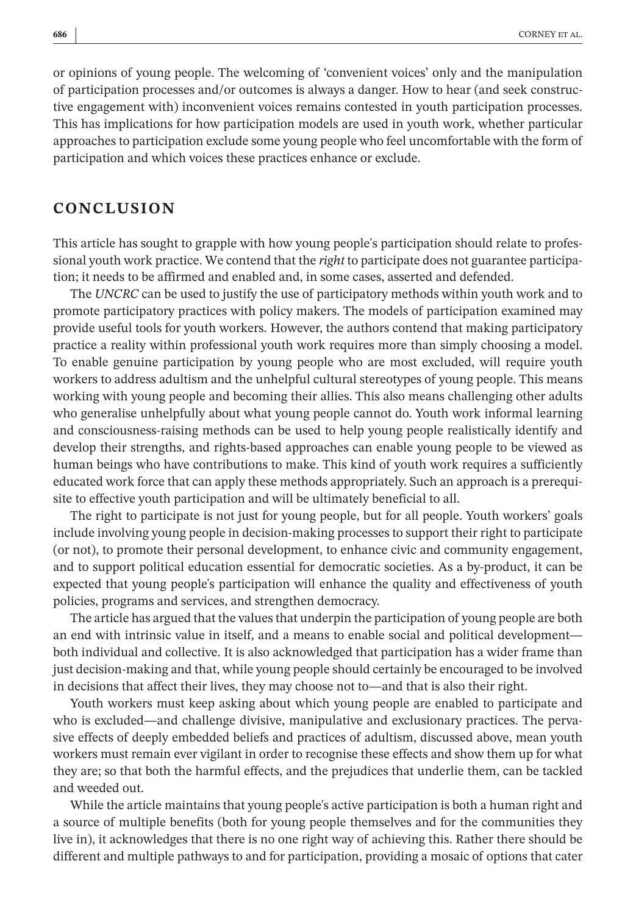or opinions of young people. The welcoming of 'convenient voices' only and the manipulation of participation processes and/or outcomes is always a danger. How to hear (and seek constructive engagement with) inconvenient voices remains contested in youth participation processes. This has implications for how participation models are used in youth work, whether particular approaches to participation exclude some young people who feel uncomfortable with the form of participation and which voices these practices enhance or exclude.

## **CONCLUSION**

This article has sought to grapple with how young people's participation should relate to professional youth work practice. We contend that the *right* to participate does not guarantee participation; it needs to be affirmed and enabled and, in some cases, asserted and defended.

The *UNCRC* can be used to justify the use of participatory methods within youth work and to promote participatory practices with policy makers. The models of participation examined may provide useful tools for youth workers. However, the authors contend that making participatory practice a reality within professional youth work requires more than simply choosing a model. To enable genuine participation by young people who are most excluded, will require youth workers to address adultism and the unhelpful cultural stereotypes of young people. This means working with young people and becoming their allies. This also means challenging other adults who generalise unhelpfully about what young people cannot do. Youth work informal learning and consciousness-raising methods can be used to help young people realistically identify and develop their strengths, and rights-based approaches can enable young people to be viewed as human beings who have contributions to make. This kind of youth work requires a sufficiently educated work force that can apply these methods appropriately. Such an approach is a prerequisite to effective youth participation and will be ultimately beneficial to all.

The right to participate is not just for young people, but for all people. Youth workers' goals include involving young people in decision-making processes to support their right to participate (or not), to promote their personal development, to enhance civic and community engagement, and to support political education essential for democratic societies. As a by-product, it can be expected that young people's participation will enhance the quality and effectiveness of youth policies, programs and services, and strengthen democracy.

The article has argued that the values that underpin the participation of young people are both an end with intrinsic value in itself, and a means to enable social and political development both individual and collective. It is also acknowledged that participation has a wider frame than just decision-making and that, while young people should certainly be encouraged to be involved in decisions that affect their lives, they may choose not to—and that is also their right.

Youth workers must keep asking about which young people are enabled to participate and who is excluded—and challenge divisive, manipulative and exclusionary practices. The pervasive effects of deeply embedded beliefs and practices of adultism, discussed above, mean youth workers must remain ever vigilant in order to recognise these effects and show them up for what they are; so that both the harmful effects, and the prejudices that underlie them, can be tackled and weeded out.

While the article maintains that young people's active participation is both a human right and a source of multiple benefits (both for young people themselves and for the communities they live in), it acknowledges that there is no one right way of achieving this. Rather there should be different and multiple pathways to and for participation, providing a mosaic of options that cater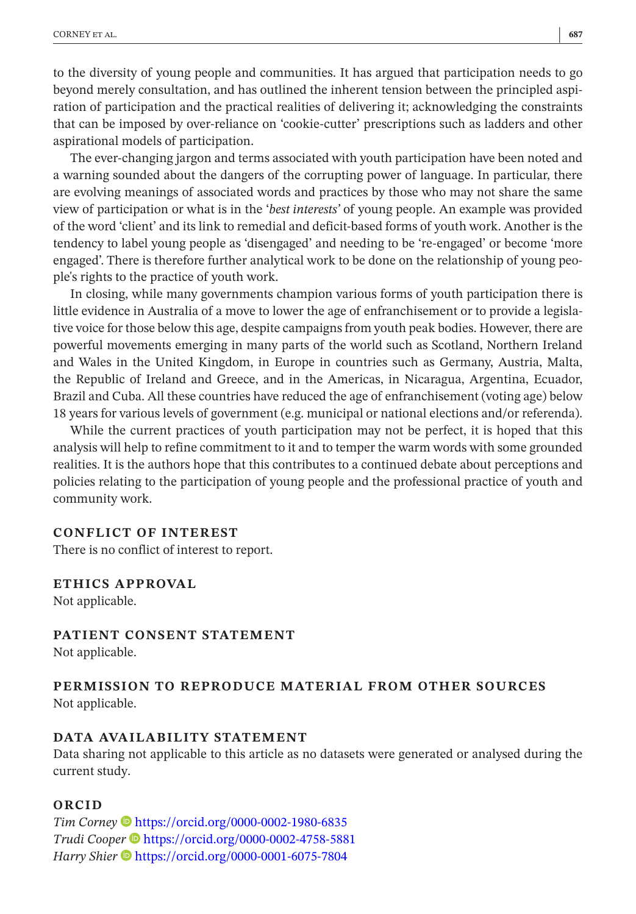to the diversity of young people and communities. It has argued that participation needs to go beyond merely consultation, and has outlined the inherent tension between the principled aspiration of participation and the practical realities of delivering it; acknowledging the constraints that can be imposed by over-reliance on 'cookie-cutter' prescriptions such as ladders and other aspirational models of participation.

The ever-changing jargon and terms associated with youth participation have been noted and a warning sounded about the dangers of the corrupting power of language. In particular, there are evolving meanings of associated words and practices by those who may not share the same view of participation or what is in the '*best interests'* of young people. An example was provided of the word 'client' and its link to remedial and deficit-based forms of youth work. Another is the tendency to label young people as 'disengaged' and needing to be 're-engaged' or become 'more engaged'. There is therefore further analytical work to be done on the relationship of young people's rights to the practice of youth work.

In closing, while many governments champion various forms of youth participation there is little evidence in Australia of a move to lower the age of enfranchisement or to provide a legislative voice for those below this age, despite campaigns from youth peak bodies. However, there are powerful movements emerging in many parts of the world such as Scotland, Northern Ireland and Wales in the United Kingdom, in Europe in countries such as Germany, Austria, Malta, the Republic of Ireland and Greece, and in the Americas, in Nicaragua, Argentina, Ecuador, Brazil and Cuba. All these countries have reduced the age of enfranchisement (voting age) below 18 years for various levels of government (e.g. municipal or national elections and/or referenda).

While the current practices of youth participation may not be perfect, it is hoped that this analysis will help to refine commitment to it and to temper the warm words with some grounded realities. It is the authors hope that this contributes to a continued debate about perceptions and policies relating to the participation of young people and the professional practice of youth and community work.

#### **CONFLICT OF INTEREST**

There is no conflict of interest to report.

#### **ETHICS APPROVAL**

Not applicable.

**PATIENT CONSENT STATEMENT** Not applicable.

## **PERMISSION TO REPRODUCE MATERIAL FROM OTHER SOURCES** Not applicable.

#### **DATA AVAILABILITY STATEMENT**

Data sharing not applicable to this article as no datasets were generated or analysed during the current study.

#### **ORCID**

*Tim Corney* <https://orcid.org/0000-0002-1980-6835> *Trudi Coop[er](https://orcid.org/0000-0001-6075-7804)* <https://orcid.org/0000-0002-4758-5881> *Harry Shier*  $\bullet$  <https://orcid.org/0000-0001-6075-7804>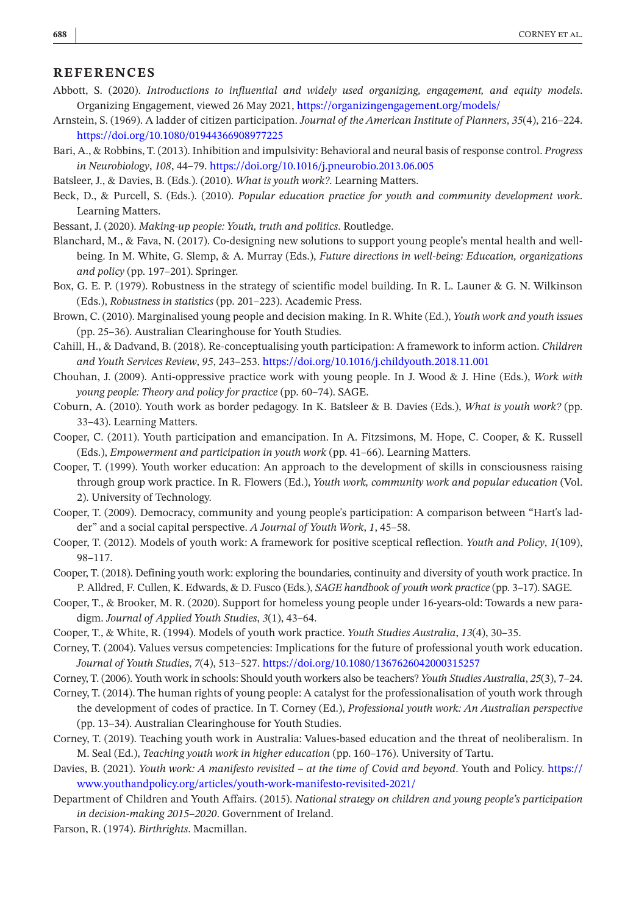#### **REFERENCES**

- <span id="page-11-21"></span>Abbott, S. (2020). *Introductions to influential and widely used organizing, engagement, and equity models*. Organizing Engagement, viewed 26 May 2021,<https://organizingengagement.org/models/>
- <span id="page-11-23"></span>Arnstein, S. (1969). A ladder of citizen participation. *Journal of the American Institute of Planners*, *35*(4), 216–224. <https://doi.org/10.1080/01944366908977225>
- <span id="page-11-16"></span>Bari, A., & Robbins, T. (2013). Inhibition and impulsivity: Behavioral and neural basis of response control. *Progress in Neurobiology*, *108*, 44–79. <https://doi.org/10.1016/j.pneurobio.2013.06.005>
- <span id="page-11-1"></span>Batsleer, J., & Davies, B. (Eds.). (2010). *What is youth work?*. Learning Matters.
- <span id="page-11-5"></span>Beck, D., & Purcell, S. (Eds.). (2010). *Popular education practice for youth and community development work*. Learning Matters.
- <span id="page-11-15"></span>Bessant, J. (2020). *Making-up people: Youth, truth and politics*. Routledge.
- <span id="page-11-0"></span>Blanchard, M., & Fava, N. (2017). Co-designing new solutions to support young people's mental health and wellbeing. In M. White, G. Slemp, & A. Murray (Eds.), *Future directions in well-being: Education, organizations and policy* (pp. 197–201). Springer.
- <span id="page-11-22"></span>Box, G. E. P. (1979). Robustness in the strategy of scientific model building. In R. L. Launer & G. N. Wilkinson (Eds.), *Robustness in statistics* (pp. 201–223). Academic Press.
- <span id="page-11-19"></span>Brown, C. (2010). Marginalised young people and decision making. In R. White (Ed.), *Youth work and youth issues* (pp. 25–36). Australian Clearinghouse for Youth Studies.
- <span id="page-11-25"></span>Cahill, H., & Dadvand, B. (2018). Re-conceptualising youth participation: A framework to inform action. *Children and Youth Services Review*, *95*, 243–253.<https://doi.org/10.1016/j.childyouth.2018.11.001>
- <span id="page-11-9"></span>Chouhan, J. (2009). Anti-oppressive practice work with young people. In J. Wood & J. Hine (Eds.), *Work with young people: Theory and policy for practice* (pp. 60–74). SAGE.
- <span id="page-11-10"></span>Coburn, A. (2010). Youth work as border pedagogy. In K. Batsleer & B. Davies (Eds.), *What is youth work?* (pp. 33–43). Learning Matters.
- <span id="page-11-12"></span>Cooper, C. (2011). Youth participation and emancipation. In A. Fitzsimons, M. Hope, C. Cooper, & K. Russell (Eds.), *Empowerment and participation in youth work* (pp. 41–66). Learning Matters.
- <span id="page-11-11"></span>Cooper, T. (1999). Youth worker education: An approach to the development of skills in consciousness raising through group work practice. In R. Flowers (Ed.), *Youth work, community work and popular education* (Vol. 2). University of Technology.
- <span id="page-11-17"></span>Cooper, T. (2009). Democracy, community and young people's participation: A comparison between "Hart's ladder" and a social capital perspective. *A Journal of Youth Work*, *1*, 45–58.
- <span id="page-11-14"></span>Cooper, T. (2012). Models of youth work: A framework for positive sceptical reflection. *Youth and Policy*, *1*(109), 98–117.
- <span id="page-11-3"></span>Cooper, T. (2018). Defining youth work: exploring the boundaries, continuity and diversity of youth work practice. In P. Alldred, F. Cullen, K. Edwards, & D. Fusco (Eds.), *SAGE handbook of youth work practice* (pp. 3–17). SAGE.
- <span id="page-11-20"></span>Cooper, T., & Brooker, M. R. (2020). Support for homeless young people under 16-years-old: Towards a new paradigm. *Journal of Applied Youth Studies*, *3*(1), 43–64.
- <span id="page-11-13"></span>Cooper, T., & White, R. (1994). Models of youth work practice. *Youth Studies Australia*, *13*(4), 30–35.
- <span id="page-11-6"></span>Corney, T. (2004). Values versus competencies: Implications for the future of professional youth work education. *Journal of Youth Studies*, *7*(4), 513–527.<https://doi.org/10.1080/1367626042000315257>
- <span id="page-11-7"></span>Corney, T. (2006). Youth work in schools: Should youth workers also be teachers? *Youth Studies Australia*, *25*(3), 7–24.
- <span id="page-11-2"></span>Corney, T. (2014). The human rights of young people: A catalyst for the professionalisation of youth work through the development of codes of practice. In T. Corney (Ed.), *Professional youth work: An Australian perspective* (pp. 13–34). Australian Clearinghouse for Youth Studies.
- <span id="page-11-8"></span>Corney, T. (2019). Teaching youth work in Australia: Values-based education and the threat of neoliberalism. In M. Seal (Ed.), *Teaching youth work in higher education* (pp. 160–176). University of Tartu.
- <span id="page-11-4"></span>Davies, B. (2021). *Youth work: A manifesto revisited – at the time of Covid and beyond*. Youth and Policy. [https://](https://www.youthandpolicy.org/articles/youth-work-manifesto-revisited-2021/) [www.youthandpolicy.org/articles/youth-work-manifesto-revisited-2021/](https://www.youthandpolicy.org/articles/youth-work-manifesto-revisited-2021/)
- <span id="page-11-24"></span>Department of Children and Youth Affairs. (2015). *National strategy on children and young people's participation in decision-making 2015–2020*. Government of Ireland.
- <span id="page-11-18"></span>Farson, R. (1974). *Birthrights*. Macmillan.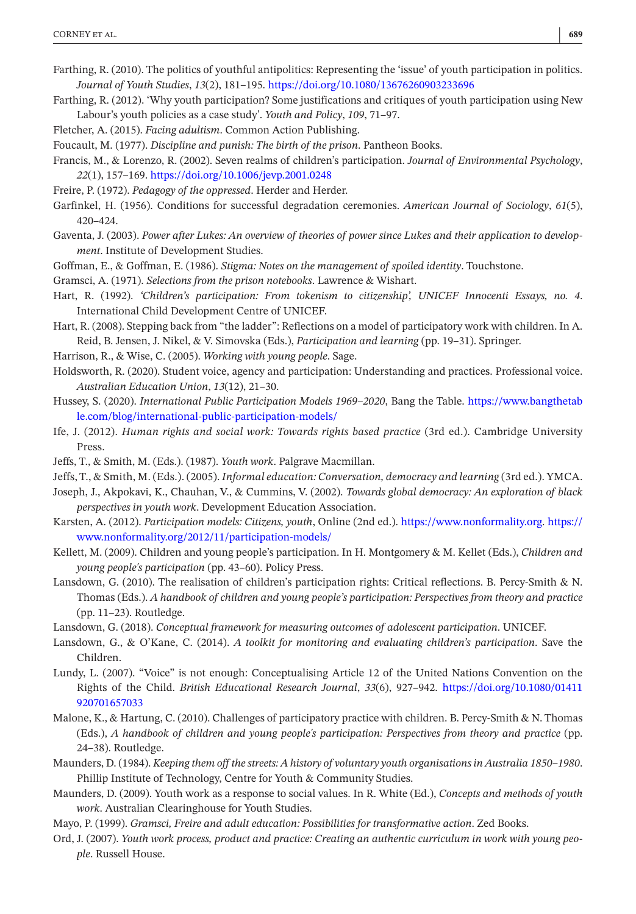- <span id="page-12-0"></span>Farthing, R. (2010). The politics of youthful antipolitics: Representing the 'issue' of youth participation in politics. *Journal of Youth Studies*, *13*(2), 181–195.<https://doi.org/10.1080/13676260903233696>
- <span id="page-12-1"></span>Farthing, R. (2012). 'Why youth participation? Some justifications and critiques of youth participation using New Labour's youth policies as a case study'. *Youth and Policy*, *109*, 71–97.
- <span id="page-12-17"></span>Fletcher, A. (2015). *Facing adultism*. Common Action Publishing.
- <span id="page-12-16"></span>Foucault, M. (1977). *Discipline and punish: The birth of the prison*. Pantheon Books.
- <span id="page-12-28"></span>Francis, M., & Lorenzo, R. (2002). Seven realms of children's participation. *Journal of Environmental Psychology*, *22*(1), 157–169. <https://doi.org/10.1006/jevp.2001.0248>
- <span id="page-12-7"></span>Freire, P. (1972). *Pedagogy of the oppressed*. Herder and Herder.
- <span id="page-12-14"></span>Garfinkel, H. (1956). Conditions for successful degradation ceremonies. *American Journal of Sociology*, *61*(5), 420–424.
- <span id="page-12-26"></span>Gaventa, J. (2003). *Power after Lukes: An overview of theories of power since Lukes and their application to development*. Institute of Development Studies.
- <span id="page-12-15"></span>Goffman, E., & Goffman, E. (1986). *Stigma: Notes on the management of spoiled identity*. Touchstone.
- <span id="page-12-11"></span>Gramsci, A. (1971). *Selections from the prison notebooks*. Lawrence & Wishart.
- <span id="page-12-22"></span>Hart, R. (1992). *'Children's participation: From tokenism to citizenship', UNICEF Innocenti Essays, no. 4*. International Child Development Centre of UNICEF.
- <span id="page-12-23"></span>Hart, R. (2008). Stepping back from "the ladder": Reflections on a model of participatory work with children. In A. Reid, B. Jensen, J. Nikel, & V. Simovska (Eds.), *Participation and learning* (pp. 19–31). Springer.
- <span id="page-12-3"></span>Harrison, R., & Wise, C. (2005). *Working with young people*. Sage.
- <span id="page-12-27"></span>Holdsworth, R. (2020). Student voice, agency and participation: Understanding and practices. Professional voice. *Australian Education Union*, *13*(12), 21–30.
- <span id="page-12-21"></span>Hussey, S. (2020). *International Public Participation Models 1969–2020*, Bang the Table. [https://www.bangthetab](https://www.bangthetable.com/blog/international-public-participation-models/) [le.com/blog/international-public-participation-models/](https://www.bangthetable.com/blog/international-public-participation-models/)
- <span id="page-12-19"></span>Ife, J. (2012). *Human rights and social work: Towards rights based practice* (3rd ed.). Cambridge University Press.
- <span id="page-12-4"></span>Jeffs, T., & Smith, M. (Eds.). (1987). *Youth work*. Palgrave Macmillan.
- <span id="page-12-6"></span>Jeffs, T., & Smith, M. (Eds.). (2005). *Informal education: Conversation, democracy and learning* (3rd ed.). YMCA.
- <span id="page-12-18"></span>Joseph, J., Akpokavi, K., Chauhan, V., & Cummins, V. (2002). *Towards global democracy: An exploration of black perspectives in youth work*. Development Education Association.
- <span id="page-12-20"></span>Karsten, A. (2012). *Participation models: Citizens, youth*, Online (2nd ed.). <https://www.nonformality.org>. [https://](https://www.nonformality.org/2012/11/participation-models/) [www.nonformality.org/2012/11/participation-models/](https://www.nonformality.org/2012/11/participation-models/)
- <span id="page-12-12"></span>Kellett, M. (2009). Children and young people's participation. In H. Montgomery & M. Kellet (Eds.), *Children and young people's participation* (pp. 43–60). Policy Press.
- <span id="page-12-2"></span>Lansdown, G. (2010). The realisation of children's participation rights: Critical reflections. B. Percy-Smith & N. Thomas (Eds.). *A handbook of children and young people's participation: Perspectives from theory and practice* (pp. 11–23). Routledge.
- <span id="page-12-13"></span>Lansdown, G. (2018). *Conceptual framework for measuring outcomes of adolescent participation*. UNICEF.
- <span id="page-12-25"></span>Lansdown, G., & O'Kane, C. (2014). *A toolkit for monitoring and evaluating children's participation*. Save the Children.
- <span id="page-12-24"></span>Lundy, L. (2007). "Voice" is not enough: Conceptualising Article 12 of the United Nations Convention on the Rights of the Child. *British Educational Research Journal*, *33*(6), 927–942. [https://doi.org/10.1080/01411](https://doi.org/10.1080/01411920701657033) [920701657033](https://doi.org/10.1080/01411920701657033)
- <span id="page-12-29"></span>Malone, K., & Hartung, C. (2010). Challenges of participatory practice with children. B. Percy-Smith & N. Thomas (Eds.), *A handbook of children and young people's participation: Perspectives from theory and practice* (pp. 24–38). Routledge.
- <span id="page-12-9"></span>Maunders, D. (1984). *Keeping them off the streets: A history of voluntary youth organisations in Australia 1850–1980*. Phillip Institute of Technology, Centre for Youth & Community Studies.
- <span id="page-12-10"></span>Maunders, D. (2009). Youth work as a response to social values. In R. White (Ed.), *Concepts and methods of youth work*. Australian Clearinghouse for Youth Studies.
- <span id="page-12-8"></span>Mayo, P. (1999). *Gramsci, Freire and adult education: Possibilities for transformative action*. Zed Books.
- <span id="page-12-5"></span>Ord, J. (2007). *Youth work process, product and practice: Creating an authentic curriculum in work with young people*. Russell House.